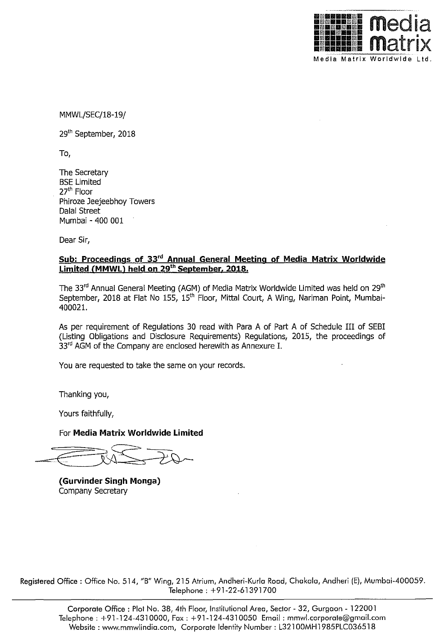

MMWL/SEC/18-19/

29<sup>th</sup> September, 2018

To,

The Secretary BSE Limited 27'" Floor Phiroze Jeejeebhoy Towers DaIaI Street Mumbai - 400 001

Dear Sir,

## **Sub: Proceedings of 33'd Annual General Meeting of Media Matrix Worldwide Limited (MMWLl held on 29th September. 2018.**

The 33<sup>rd</sup> Annual General Meeting (AGM) of Media Matrix Worldwide Limited was held on 29<sup>th</sup> September, 2018 at Flat No 155, 15<sup>th</sup> Floor, Mittal Court, A Wing, Nariman Point, Mumbai-400021.

As per requirement of Regulations 30 read with Para A of Part A of Schedule III of SEBI (Listing Obligations and Disclosure Requirements) Regulations, 2015, the proceedings of 33<sup>rd</sup> AGM of the Company are enclosed herewith as Annexure I.

You are requested to take the same on your records.

Thanking you,

Yours faithfully,

For **Media Matrix Worldwide Limited** 

**(Gurvinder Singh Monga)**  Company Secretary

Registered Office : Office No. 514, "B" Wing, 215 Atrium, Andheri-Kurlo Rood, Chakola, Andheri (E), Mumboi-400059. Telephone : +91-22-61391700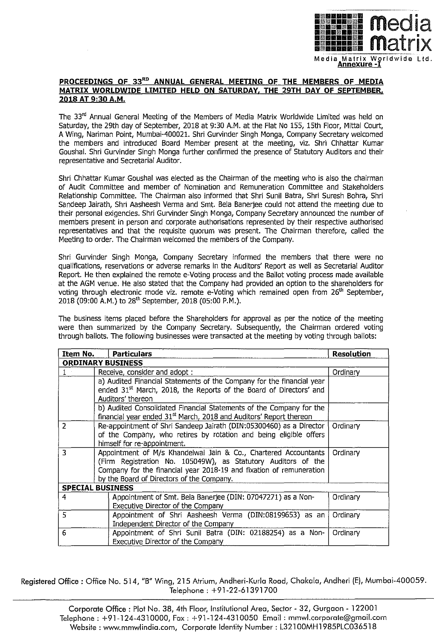

## **PROCEEDINGS OF** 33"0 **ANNUAL GENERAL MEETING OF THE MEMBERS OF MEDIA MATRIX WORLDWIDE LIMITED HELD ON SATURDAY, THE 29TH DAY OF SEPTEMBER, 2018 AT 9:30A.M.**

The 33<sup>rd</sup> Annual General Meeting of the Members of Media Matrix Worldwide Limited was held on Saturday, the 29th day of September, 2018 at 9:30 A.M. at the Flat No 155, 15th Floor, Mittal Court, A Wing, Nariman Point, Mumbai-400021. Shri Gurvinder Singh Monga, Company Secretary welcomed the members and introduced Board Member present at the meeting, viz. Shri Chhattar Kumar Goushal. Shri Gurvinder Singh Monga further confirmed the presence of Statutory Auditors and their representative and Secretarial Auditor.

Shri Chhattar Kumar Goushal was elected as the Chairman of the meeting who is also the chairman of Audit Committee and member of Nomination and Remuneration Committee and Stakeholders Relationship Committee. The Chairman also informed that Shri Sunil Batra, Shri Suresh Bohra, Shri Sandeep Jairath, Shri Aasheesh Verma and Smt. Bela Banerjee could not attend the meeting due to their personal exigencies. Shri Gurvinder Singh Monga, Company Secretary announced the number of members present in person and corporate authorisations represented by their respective authorised representatives and that the requisite quorum was present. The Chairman therefore, called the Meeting to order. The Chairman welcomed the members of the Company.

Shri Gurvinder Singh Monga, Company Secretary informed the members that there were no qualifications, reservations or adverse remarks in the Auditors' Report as well as Secretarial Auditor Report. He then explained the remote e-Voting process and the Ballot voting process made available at the AGM venue. He also stated that the Company had provided an option to the shareholders for voting through electronic mode viz. remote e-Voting which remained open from 26<sup>th</sup> September, 2018 (09:00 A.M.) to 28<sup>th</sup> September, 2018 (05:00 P.M.).

The business items placed before the Shareholders for approval as per the notice of the meeting were then summarized by the Company Secretary. Subsequently, the Chairman ordered voting through ballots. The following businesses were transacted at the meeting by voting through ballots:

| Item No.                 | Particulars                                                                    | Resolution |
|--------------------------|--------------------------------------------------------------------------------|------------|
| <b>ORDINARY BUSINESS</b> |                                                                                |            |
| $1 -$                    | Receive, consider and adopt:                                                   | Ordinary   |
|                          | a) Audited Financial Statements of the Company for the financial year          |            |
|                          | ended 31 <sup>st</sup> March, 2018, the Reports of the Board of Directors' and |            |
|                          | Auditors' thereon                                                              |            |
|                          | b) Audited Consolidated Financial Statements of the Company for the            |            |
|                          | financial year ended 31 <sup>st</sup> March, 2018 and Auditors' Report thereon |            |
| 2                        | Re-appointment of Shri Sandeep Jairath (DIN:05300460) as a Director            | Ordinary   |
|                          | of the Company, who retires by rotation and being eligible offers              |            |
|                          | himself for re-appointment.                                                    |            |
| 3                        | Appointment of M/s Khandelwal Jain & Co., Chartered Accountants                | Ordinary   |
|                          | (Firm Registration No. 105049W), as Statutory Auditors of the                  |            |
|                          | Company for the financial year 2018-19 and fixation of remuneration            |            |
|                          | by the Board of Directors of the Company.                                      |            |
| <b>SPECIAL BUSINESS</b>  |                                                                                |            |
| 4                        | Appointment of Smt. Bela Banerjee (DIN: 07047271) as a Non-                    | Ordinary   |
|                          | Executive Director of the Company                                              |            |
| 5                        | Appointment of Shri Aasheesh Verma (DIN:08199653) as an                        | Ordinary   |
|                          | Independent Director of the Company                                            |            |
| 6                        | Appointment of Shri Sunil Batra (DIN: 02188254) as a Non-                      | Ordinary   |
|                          | Executive Director of the Company                                              |            |

Registered Office : Office No. 514, "B" Wing, 215 Atrium, Andheri-Kurla Road, Chakala, Andheri (E), Mumbai-400059. Telephone : +91-22-61391700